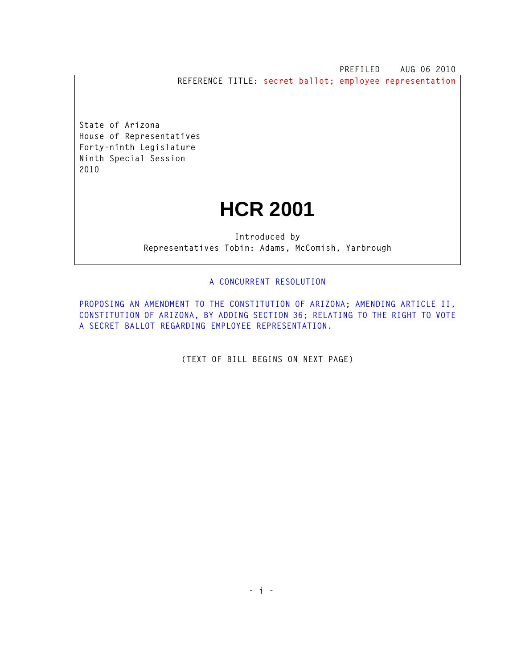**PREFILED AUG 06 2010** 

**REFERENCE TITLE: secret ballot; employee representation**

**State of Arizona House of Representatives Forty-ninth Legislature Ninth Special Session 2010** 

## **HCR 2001**

**Introduced by Representatives Tobin: Adams, McComish, Yarbrough** 

## **A CONCURRENT RESOLUTION**

**PROPOSING AN AMENDMENT TO THE CONSTITUTION OF ARIZONA; AMENDING ARTICLE II, CONSTITUTION OF ARIZONA, BY ADDING SECTION 36; RELATING TO THE RIGHT TO VOTE A SECRET BALLOT REGARDING EMPLOYEE REPRESENTATION.** 

**(TEXT OF BILL BEGINS ON NEXT PAGE)**